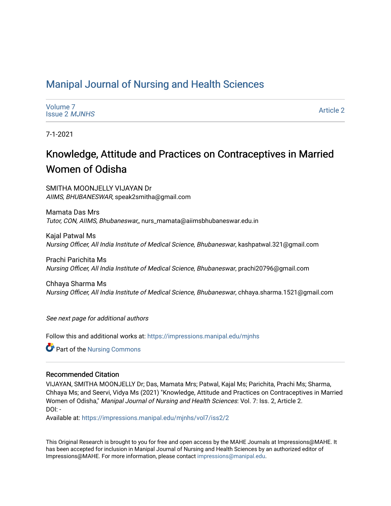# [Manipal Journal of Nursing and Health Sciences](https://impressions.manipal.edu/mjnhs)

| Volume 7             |  |
|----------------------|--|
| <b>Issue 2 MJNHS</b> |  |

[Article 2](https://impressions.manipal.edu/mjnhs/vol7/iss2/2) 

7-1-2021

# Knowledge, Attitude and Practices on Contraceptives in Married Women of Odisha

SMITHA MOONJELLY VIJAYAN Dr AIIMS, BHUBANESWAR, speak2smitha@gmail.com

Mamata Das Mrs Tutor, CON, AIIMS, Bhubaneswar,, nurs\_mamata@aiimsbhubaneswar.edu.in

Kajal Patwal Ms Nursing Officer, All India Institute of Medical Science, Bhubaneswar, kashpatwal.321@gmail.com

Prachi Parichita Ms Nursing Officer, All India Institute of Medical Science, Bhubaneswar, prachi20796@gmail.com

Chhaya Sharma Ms Nursing Officer, All India Institute of Medical Science, Bhubaneswar, chhaya.sharma.1521@gmail.com

See next page for additional authors

Follow this and additional works at: [https://impressions.manipal.edu/mjnhs](https://impressions.manipal.edu/mjnhs?utm_source=impressions.manipal.edu%2Fmjnhs%2Fvol7%2Fiss2%2F2&utm_medium=PDF&utm_campaign=PDFCoverPages) 

**C** Part of the Nursing Commons

### Recommended Citation

VIJAYAN, SMITHA MOONJELLY Dr; Das, Mamata Mrs; Patwal, Kajal Ms; Parichita, Prachi Ms; Sharma, Chhaya Ms; and Seervi, Vidya Ms (2021) "Knowledge, Attitude and Practices on Contraceptives in Married Women of Odisha," Manipal Journal of Nursing and Health Sciences: Vol. 7: Iss. 2, Article 2. DOI: -

Available at: [https://impressions.manipal.edu/mjnhs/vol7/iss2/2](https://impressions.manipal.edu/mjnhs/vol7/iss2/2?utm_source=impressions.manipal.edu%2Fmjnhs%2Fvol7%2Fiss2%2F2&utm_medium=PDF&utm_campaign=PDFCoverPages) 

This Original Research is brought to you for free and open access by the MAHE Journals at Impressions@MAHE. It has been accepted for inclusion in Manipal Journal of Nursing and Health Sciences by an authorized editor of Impressions@MAHE. For more information, please contact [impressions@manipal.edu](mailto:impressions@manipal.edu).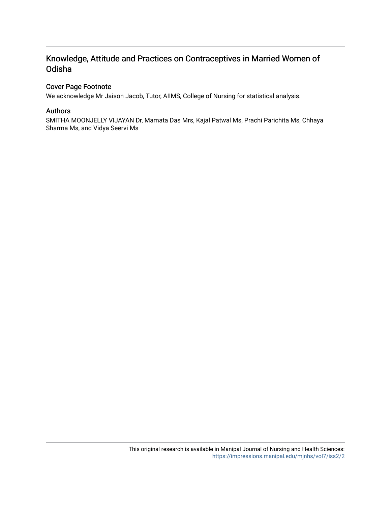# Knowledge, Attitude and Practices on Contraceptives in Married Women of Odisha

## Cover Page Footnote

We acknowledge Mr Jaison Jacob, Tutor, AIIMS, College of Nursing for statistical analysis.

## Authors

SMITHA MOONJELLY VIJAYAN Dr, Mamata Das Mrs, Kajal Patwal Ms, Prachi Parichita Ms, Chhaya Sharma Ms, and Vidya Seervi Ms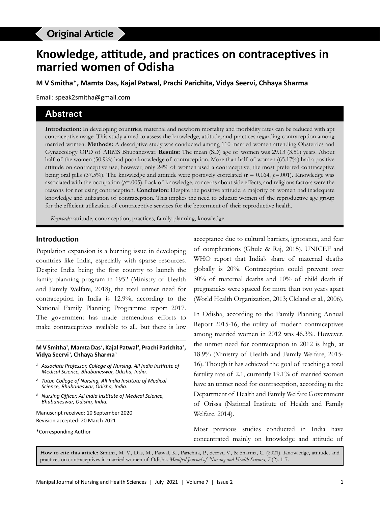# Original Article

# **Knowledge, attitude, and practices on contraceptives in married women of Odisha**

**M V Smitha\*, Mamta Das, Kajal Patwal, Prachi Parichita, Vidya Seervi, Chhaya Sharma**

Email: speak2smitha@gmail.com

## **Abstract**

**Introduction:** In developing countries, maternal and newborn mortality and morbidity rates can be reduced with apt contraceptive usage. This study aimed to assess the knowledge, attitude, and practices regarding contraception among married women. **Methods:** A descriptive study was conducted among 110 married women attending Obstetrics and Gynaecology OPD of AIIMS Bhubaneswar. **Results:** The mean (SD) age of women was 29.13 (3.51) years. About half of the women (50.9%) had poor knowledge of contraception. More than half of women (65.17%) had a positive attitude on contraceptive use; however, only 24% of women used a contraceptive, the most preferred contraceptive being oral pills (37.5%). The knowledge and attitude were positively correlated ( $r = 0.164$ ,  $p=0.01$ ). Knowledge was associated with the occupation (*p*=.005). Lack of knowledge, concerns about side effects, and religious factors were the reasons for not using contraception. **Conclusion:** Despite the positive attitude, a majority of women had inadequate knowledge and utilization of contraception. This implies the need to educate women of the reproductive age group for the efficient utilization of contraceptive services for the betterment of their reproductive health.

*Keywords:* attitude, contraception, practices, family planning, knowledge

#### **Introduction**

Population expansion is a burning issue in developing countries like India, especially with sparse resources. Despite India being the first country to launch the family planning program in 1952 (Ministry of Health and Family Welfare, 2018), the total unmet need for contraception in India is 12.9%, according to the National Family Planning Programme report 2017. The government has made tremendous efforts to make contraceptives available to all, but there is low

#### **M V Smitha1 , Mamta Das2 , Kajal Patwal3 , Prachi Parichita3 , Vidya Seervi3 , Chhaya Sharma3**

- *1 Associate Professor, College of Nursing, All India Institute of Medical Science, Bhubaneswar, Odisha, India.*
- *<sup>2</sup> Tutor, College of Nursing, All India Institute of Medical Science, Bhubaneswar, Odisha, India.*
- *<sup>3</sup> Nursing Officer, All India Institute of Medical Science, Bhubaneswar, Odisha, India.*

Manuscript received: 10 September 2020 Revision accepted: 20 March 2021

\*Corresponding Author

acceptance due to cultural barriers, ignorance, and fear of complications (Ghule & Raj, 2015). UNICEF and WHO report that India's share of maternal deaths globally is 20%. Contraception could prevent over 30% of maternal deaths and 10% of child death if pregnancies were spaced for more than two years apart (World Health Organization, 2013; Cleland et al., 2006).

In Odisha, according to the Family Planning Annual Report 2015-16, the utility of modern contraceptives among married women in 2012 was 46.3%. However, the unmet need for contraception in 2012 is high, at 18.9% (Ministry of Health and Family Welfare, 2015- 16). Though it has achieved the goal of reaching a total fertility rate of 2.1, currently 19.1% of married women have an unmet need for contraception, according to the Department of Health and Family Welfare Government of Orissa (National Institute of Health and Family Welfare, 2014).

Most previous studies conducted in India have concentrated mainly on knowledge and attitude of

**How to cite this article:** Smitha, M. V., Das, M., Patwal, K., Parichita, P., Seervi, V., & Sharma, C. (2021). Knowledge, attitude, and practices on contraceptives in married women of Odisha. *Manipal Journal of Nursing and Health Sciences*, *7* (2). 1-7.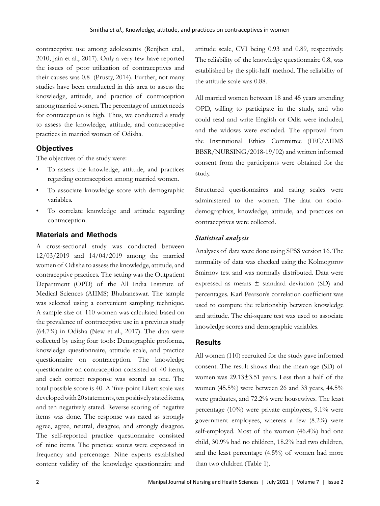contraceptive use among adolescents (Renjhen etal., 2010; Jain et al., 2017). Only a very few have reported the issues of poor utilization of contraceptives and their causes was 0.8 (Prusty, 2014). Further, not many studies have been conducted in this area to assess the knowledge, attitude, and practice of contraception among married women. The percentage of unmet needs for contraception is high. Thus, we conducted a study to assess the knowledge, attitude, and contraceptive practices in married women of Odisha.

## **Objectives**

The objectives of the study were:

- To assess the knowledge, attitude, and practices regarding contraception among married women.
- To associate knowledge score with demographic variables.
- To correlate knowledge and attitude regarding contraception.

## **Materials and Methods**

A cross-sectional study was conducted between 12/03/2019 and 14/04/2019 among the married women of Odisha to assess the knowledge, attitude, and contraceptive practices. The setting was the Outpatient Department (OPD) of the All India Institute of Medical Sciences (AIIMS) Bhubaneswar. The sample was selected using a convenient sampling technique. A sample size of 110 women was calculated based on the prevalence of contraceptive use in a previous study (64.7%) in Odisha (New et al., 2017). The data were collected by using four tools: Demographic proforma, knowledge questionnaire, attitude scale, and practice questionnaire on contraception. The knowledge questionnaire on contraception consisted of 40 items, and each correct response was scored as one. The total possible score is 40. A 'five-point Likert scale was developed with 20 statements, ten positively stated items, and ten negatively stated. Reverse scoring of negative items was done. The response was rated as strongly agree, agree, neutral, disagree, and strongly disagree. The self-reported practice questionnaire consisted of nine items. The practice scores were expressed in frequency and percentage. Nine experts established content validity of the knowledge questionnaire and

attitude scale, CVI being 0.93 and 0.89, respectively. The reliability of the knowledge questionnaire 0.8, was established by the split-half method. The reliability of the attitude scale was 0.88.

All married women between 18 and 45 years attending OPD, willing to participate in the study, and who could read and write English or Odia were included, and the widows were excluded. The approval from the Institutional Ethics Committee (IEC/AIIMS BBSR/NURSING/2018-19/02) and written informed consent from the participants were obtained for the study.

Structured questionnaires and rating scales were administered to the women. The data on sociodemographics, knowledge, attitude, and practices on contraceptives were collected.

## *Statistical analysis*

Analyses of data were done using SPSS version 16. The normality of data was checked using the Kolmogorov Smirnov test and was normally distributed. Data were expressed as means ± standard deviation (SD) and percentages. Karl Pearson's correlation coefficient was used to compute the relationship between knowledge and attitude. The chi-square test was used to associate knowledge scores and demographic variables.

## **Results**

All women (110) recruited for the study gave informed consent. The result shows that the mean age (SD) of women was 29.13±3.51 years. Less than a half of the women (45.5%) were between 26 and 33 years, 44.5% were graduates, and 72.2% were housewives. The least percentage (10%) were private employees, 9.1% were government employees, whereas a few (8.2%) were self-employed. Most of the women (46.4%) had one child, 30.9% had no children, 18.2% had two children, and the least percentage (4.5%) of women had more than two children (Table 1).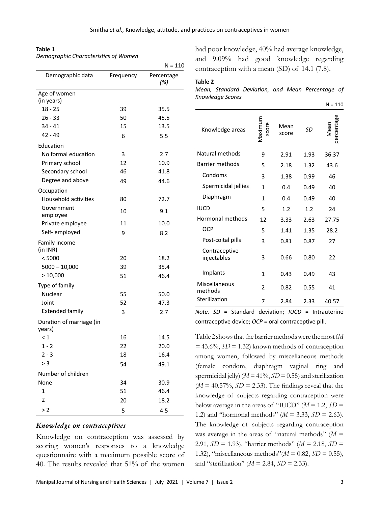#### **Table 1**

*Demographic Characteristics of Women*

|                                    |           | $N = 110$         |
|------------------------------------|-----------|-------------------|
| Demographic data                   | Frequency | Percentage<br>(%) |
| Age of women<br>(in years)         |           |                   |
| $18 - 25$                          | 39        | 35.5              |
| $26 - 33$                          | 50        | 45.5              |
| $34 - 41$                          | 15        | 13.5              |
| 42 - 49                            | 6         | 5.5               |
| Education                          |           |                   |
| No formal education                | 3         | 2.7               |
| Primary school                     | 12        | 10.9              |
| Secondary school                   | 46        | 41.8              |
| Degree and above                   | 49        | 44.6              |
| Occupation                         |           |                   |
| Household activities               | 80        | 72.7              |
| Government<br>employee             | 10        | 9.1               |
| Private employee                   | 11        | 10.0              |
| Self-employed                      | 9         | 8.2               |
| Family income<br>(in INR)          |           |                   |
| < 5000                             | 20        | 18.2              |
| $5000 - 10,000$                    | 39        | 35.4              |
| >10,000                            | 51        | 46.4              |
| Type of family                     |           |                   |
| Nuclear                            | 55        | 50.0              |
| Joint                              | 52        | 47.3              |
| <b>Extended family</b>             | 3         | 2.7               |
| Duration of marriage (in<br>years) |           |                   |
| $\leq 1$                           | 16        | 14.5              |
| $1 - 2$                            | 22        | 20.0              |
| $2 - 3$                            | 18        | 16.4              |
| > 3                                | 54        | 49.1              |
| Number of children                 |           |                   |
| None                               | 34        | 30.9              |
| $\mathbf{1}$                       | 51        | 46.4              |
| 2                                  | 20        | 18.2              |
| >2                                 | 5         | 4.5               |

#### *Knowledge on contraceptives*

Knowledge on contraception was assessed by scoring women's responses to a knowledge questionnaire with a maximum possible score of 40. The results revealed that 51% of the women

had poor knowledge, 40% had average knowledge, and 9.09% had good knowledge regarding contraception with a mean (SD) of 14.1 (7.8).

#### **Table 2**

|                  |  | Mean, Standard Deviation, and Mean Percentage of |  |
|------------------|--|--------------------------------------------------|--|
| Knowledge Scores |  |                                                  |  |

|                              |                  |               |           | $N = 110$          |
|------------------------------|------------------|---------------|-----------|--------------------|
| Knowledge areas              | Maximum<br>score | Mean<br>score | <b>SD</b> | percentage<br>Mean |
| Natural methods              | 9                | 2.91          | 1.93      | 36.37              |
| <b>Barrier methods</b>       | 5                | 2.18          | 1.32      | 43.6               |
| Condoms                      | 3                | 1.38          | 0.99      | 46                 |
| Spermicidal jellies          | 1                | 0.4           | 0.49      | 40                 |
| Diaphragm                    | $\mathbf{1}$     | 0.4           | 0.49      | 40                 |
| <b>IUCD</b>                  | 5                | 1.2           | 1.2       | 24                 |
| Hormonal methods             | 12               | 3.33          | 2.63      | 27.75              |
| <b>OCP</b>                   | 5                | 1.41          | 1.35      | 28.2               |
| Post-coital pills            | 3                | 0.81          | 0.87      | 27                 |
| Contraceptive<br>injectables | 3                | 0.66          | 0.80      | 22                 |
| Implants                     | $\mathbf{1}$     | 0.43          | 0.49      | 43                 |
| Miscellaneous<br>methods     | 2                | 0.82          | 0.55      | 41                 |
| Sterilization                | 7                | 2.84          | 2.33      | 40.57              |

*Note. SD* = Standard deviation; *IUCD* = Intrauterine contraceptive device; *OCP* = oral contraceptive pill.

Table 2 shows that the barrier methods were the most (*M =* 43.6%, *SD* = 1.32) known methods of contraception among women, followed by miscellaneous methods (female condom, diaphragm vaginal ring and spermicidal jelly) ( $M = 41\%$ ,  $SD = 0.55$ ) and sterilization  $(M = 40.57\%, SD = 2.33)$ . The findings reveal that the knowledge of subjects regarding contraception were below average in the areas of "IUCD"  $(M = 1.2, SD =$ 1.2) and "hormonal methods" (*M* = 3.33, *SD* = 2.63). The knowledge of subjects regarding contraception was average in the areas of "natural methods" (*M* = 2.91, *SD* = 1.93), "barrier methods" (*M* = 2.18, *SD* = 1.32), "miscellaneous methods"(*M* = 0.82, *SD* = 0.55), and "sterilization" ( $M = 2.84$ ,  $SD = 2.33$ ).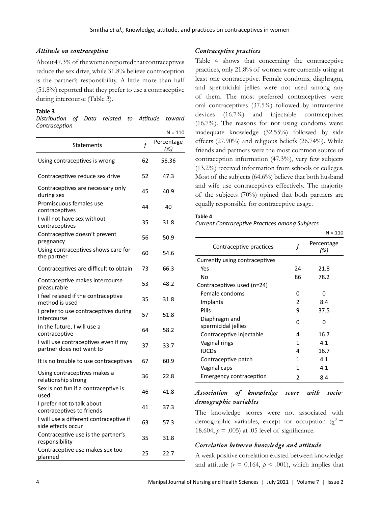### *Attitude on contraception*

About 47.3% of the women reported that contraceptives reduce the sex drive, while 31.8% believe contraception is the partner's responsibility. A little more than half (51.8%) reported that they prefer to use a contraceptive during intercourse (Table 3).

#### **Table 3**

| Distribution of Data related to Attitude toward |  |  |  |
|-------------------------------------------------|--|--|--|
| Contraception                                   |  |  |  |

|                                                                  |             | $N = 110$         |
|------------------------------------------------------------------|-------------|-------------------|
| Statements                                                       | $\mathbf f$ | Percentage<br>(%) |
| Using contraceptives is wrong                                    | 62          | 56.36             |
| Contraceptives reduce sex drive                                  | 52          | 47.3              |
| Contraceptives are necessary only<br>during sex                  | 45          | 40.9              |
| Promiscuous females use<br>contraceptives                        | 44          | 40                |
| I will not have sex without<br>contraceptives                    | 35          | 31.8              |
| Contraceptive doesn't prevent<br>pregnancy                       | 56          | 50.9              |
| Using contraceptives shows care for<br>the partner               | 60          | 54.6              |
| Contraceptives are difficult to obtain                           | 73          | 66.3              |
| Contraceptive makes intercourse<br>pleasurable                   | 53          | 48.2              |
| I feel relaxed if the contraceptive<br>method is used            | 35          | 31.8              |
| I prefer to use contraceptives during<br>intercourse             | 57          | 51.8              |
| In the future, I will use a<br>contraceptive                     | 64          | 58.2              |
| I will use contraceptives even if my<br>partner does not want to | 37          | 33.7              |
| It is no trouble to use contraceptives                           | 67          | 60.9              |
| Using contraceptives makes a<br>relationship strong              | 36          | 22.8              |
| Sex is not fun if a contraceptive is<br>used                     | 46          | 41.8              |
| I prefer not to talk about<br>contraceptives to friends          | 41          | 37.3              |
| I will use a different contraceptive if<br>side effects occur    | 63          | 57.3              |
| Contraceptive use is the partner's<br>responsibility             | 35          | 31.8              |
| Contraceptive use makes sex too<br>planned                       | 25          | 22.7              |

## *Contraceptive practices*

Table 4 shows that concerning the contraceptive practices, only 21.8% of women were currently using at least one contraceptive. Female condoms, diaphragm, and spermicidal jellies were not used among any of them. The most preferred contraceptives were oral contraceptives (37.5%) followed by intrauterine devices (16.7%) and injectable contraceptives (16.7%). The reasons for not using condoms were: inadequate knowledge (32.55%) followed by side effects (27.90%) and religious beliefs (26.74%). While friends and partners were the most common source of contraception information (47.3%), very few subjects (13.2%) received information from schools or colleges. Most of the subjects (64.6%) believe that both husband and wife use contraceptives effectively. The majority of the subjects (70%) opined that both partners are equally responsible for contraceptive usage.

# **Table 4**

*Current Contraceptive Practices among Subjects*

|                                      |    | $N = 110$         |
|--------------------------------------|----|-------------------|
| Contraceptive practices              | f  | Percentage<br>(%) |
| Currently using contraceptives       |    |                   |
| Yes                                  | 24 | 21.8              |
| No                                   | 86 | 78.2              |
| Contraceptives used (n=24)           |    |                   |
| Female condoms                       | ი  | ŋ                 |
| Implants                             | 2  | 8.4               |
| Pills                                | 9  | 37.5              |
| Diaphragm and<br>spermicidal jellies | ŋ  | n                 |
| Contraceptive injectable             | 4  | 16.7              |
| Vaginal rings                        | 1  | 41                |
| <b>IUCDs</b>                         | 4  | 16.7              |
| Contraceptive patch                  | 1  | 4.1               |
| Vaginal caps                         | 1  | 4.1               |
| Emergency contraception              | 2  | 8.4               |

### *Association of knowledge score with sociodemographic variables*

The knowledge scores were not associated with demographic variables, except for occupation ( $\gamma^2$  = 18.604,  $p = .005$ ) at .05 level of significance.

### *Correlation between knowledge and attitude*

A weak positive correlation existed between knowledge and attitude  $(r = 0.164, p < .001)$ , which implies that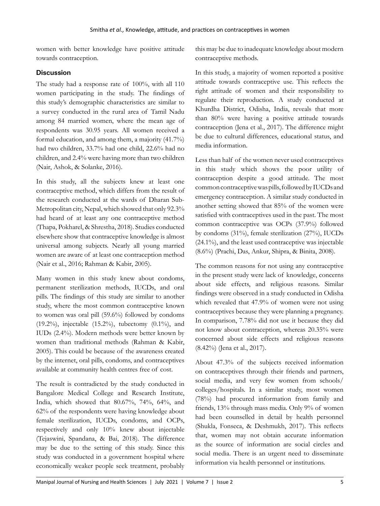women with better knowledge have positive attitude towards contraception.

## **Discussion**

The study had a response rate of 100%, with all 110 women participating in the study. The findings of this study's demographic characteristics are similar to a survey conducted in the rural area of Tamil Nadu among 84 married women, where the mean age of respondents was 30.95 years. All women received a formal education, and among them, a majority (41.7%) had two children, 33.7% had one child, 22.6% had no children, and 2.4% were having more than two children (Nair, Ashok, & Solanke, 2016).

In this study, all the subjects knew at least one contraceptive method, which differs from the result of the research conducted at the wards of Dharan Sub-Metropolitan city, Nepal, which showed that only 92.3% had heard of at least any one contraceptive method (Thapa, Pokharel, & Shrestha, 2018). Studies conducted elsewhere show that contraceptive knowledge is almost universal among subjects. Nearly all young married women are aware of at least one contraception method (Nair et al., 2016; Rahman & Kabir, 2005).

Many women in this study knew about condoms, permanent sterilization methods, IUCDs, and oral pills. The findings of this study are similar to another study, where the most common contraceptive known to women was oral pill (59.6%) followed by condoms (19.2%), injectable  $(15.2\%)$ , tubectomy  $(0.1\%)$ , and IUDs (2.4%). Modern methods were better known by women than traditional methods (Rahman & Kabir, 2005). This could be because of the awareness created by the internet, oral pills, condoms, and contraceptives available at community health centres free of cost.

The result is contradicted by the study conducted in Bangalore Medical College and Research Institute, India, which showed that 80.67%, 74%, 64%, and 62% of the respondents were having knowledge about female sterilization, IUCDs, condoms, and OCPs, respectively and only 10% knew about injectable (Tejaswini, Spandana, & Bai, 2018). The difference may be due to the setting of this study. Since this study was conducted in a government hospital where economically weaker people seek treatment, probably this may be due to inadequate knowledge about modern contraceptive methods.

In this study, a majority of women reported a positive attitude towards contraceptive use. This reflects the right attitude of women and their responsibility to regulate their reproduction. A study conducted at Khurdha District, Odisha, India, reveals that more than 80% were having a positive attitude towards contraception (Jena et al., 2017). The difference might be due to cultural differences, educational status, and media information.

Less than half of the women never used contraceptives in this study which shows the poor utility of contraception despite a good attitude. The most common contraceptive was pills, followed by IUCDs and emergency contraception. A similar study conducted in another setting showed that 85% of the women were satisfied with contraceptives used in the past. The most common contraceptive was OCPs (37.9%) followed by condoms (31%), female sterilization (27%), IUCDs (24.1%), and the least used contraceptive was injectable (8.6%) (Prachi, Das, Ankur, Shipra, & Binita, 2008).

The common reasons for not using any contraceptive in the present study were lack of knowledge, concerns about side effects, and religious reasons. Similar findings were observed in a study conducted in Odisha which revealed that 47.9% of women were not using contraceptives because they were planning a pregnancy. In comparison, 7.78% did not use it because they did not know about contraception, whereas 20.35% were concerned about side effects and religious reasons (8.42%) (Jena et al., 2017).

About 47.3% of the subjects received information on contraceptives through their friends and partners, social media, and very few women from schools/ colleges/hospitals. In a similar study, most women (78%) had procured information from family and friends, 13% through mass media. Only 9% of women had been counselled in detail by health personnel (Shukla, Fonseca, & Deshmukh, 2017). This reflects that, women may not obtain accurate information as the source of information are social circles and social media. There is an urgent need to disseminate information via health personnel or institutions.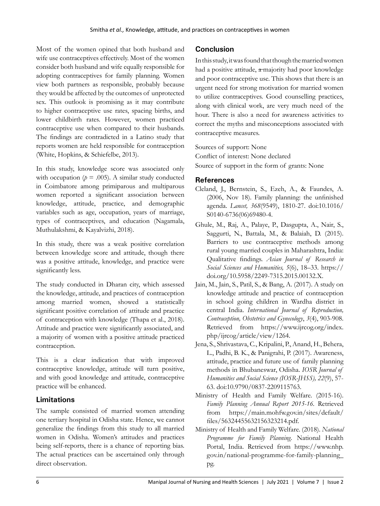Most of the women opined that both husband and wife use contraceptives effectively. Most of the women consider both husband and wife equally responsible for adopting contraceptives for family planning. Women view both partners as responsible, probably because they would be affected by the outcomes of unprotected sex. This outlook is promising as it may contribute to higher contraceptive use rates, spacing births, and lower childbirth rates. However, women practiced contraceptive use when compared to their husbands. The findings are contradicted in a Latino study that reports women are held responsible for contraception (White, Hopkins, & Schiefelbe, 2013).

In this study, knowledge score was associated only with occupation ( $p = .005$ ). A similar study conducted in Coimbatore among primiparous and multiparous women reported a significant association between knowledge, attitude, practice, and demographic variables such as age, occupation, years of marriage, types of contraceptives, and education (Nagamala, Muthulakshmi, & Kayalvizhi, 2018).

In this study, there was a weak positive correlation between knowledge score and attitude, though there was a positive attitude, knowledge, and practice were significantly less.

The study conducted in Dharan city, which assessed the knowledge, attitude, and practices of contraception among married women, showed a statistically significant positive correlation of attitude and practice of contraception with knowledge (Thapa et al., 2018). Attitude and practice were significantly associated, and a majority of women with a positive attitude practiced contraception.

This is a clear indication that with improved contraceptive knowledge, attitude will turn positive, and with good knowledge and attitude, contraceptive practice will be enhanced.

# **Limitations**

The sample consisted of married women attending one tertiary hospital in Odisha state. Hence, we cannot generalize the findings from this study to all married women in Odisha. Women's attitudes and practices being self-reports, there is a chance of reporting bias. The actual practices can be ascertained only through direct observation.

## **Conclusion**

In this study, it was found that though the married women had a positive attitude,  $\pi$ majority had poor knowledge and poor contraceptive use. This shows that there is an urgent need for strong motivation for married women to utilize contraceptives. Good counselling practices, along with clinical work, are very much need of the hour. There is also a need for awareness activities to correct the myths and misconceptions associated with contraceptive measures.

Sources of support: None Conflict of interest: None declared Source of support in the form of grants: None

## **References**

- Cleland, J., Bernstein, S., Ezeh, A., & Faundes, A. (2006, Nov 18). Family planning: the unfinished agenda. *Lancet, 368*(9549), 1810-27. doi:10.1016/ S0140-6736(06)69480-4.
- Ghule, M., Raj, A., Palaye, P., Dasgupta, A., Nair, S., Saggurti, N., Battala, M., & Balaiah, D. (2015). Barriers to use contraceptive methods among rural young married couples in Maharashtra, India: Qualitative findings. *Asian Journal of Research in Social Sciences and Humanities, 5*(6), 18–33. https:// doi.org/10.5958/2249-7315.2015.00132.X.
- Jain, M., Jain, S., Patil, S., & Bang, A. (2017). A study on knowledge attitude and practice of contraception in school going children in Wardha district in central India. *International Journal of Reproduction, Contraception, Obstetrics and Gynecology*, *3*(4), 903-908. Retrieved from https://www.ijrcog.org/index. php/ijrcog/article/view/1264.
- Jena, S., Shrivastava, C., Kripalini, P., Anand, H., Behera, L., Padhi, B. K., & Panigrahi, P. (2017). Awareness, attitude, practice and future use of family planning methods in Bhubaneswar, Odisha. *IOSR Journal of Humanities and Social Science (IOSR-JHSS), 22*(9), 57- 63. doi:10.9790/0837-2209115763.
- Ministry of Health and Family Welfare. (2015-16). *Family Planning Annual Report 2015-16.* Retrieved from https://main.mohfw.gov.in/sites/default/ files/56324455632156323214.pdf.
- Ministry of Health and Family Welfare. (2018). *National Programme for Family Planning.* National Health Portal, India. Retrieved from https://www.nhp. gov.in/national-programme-for-family-planning\_ pg.